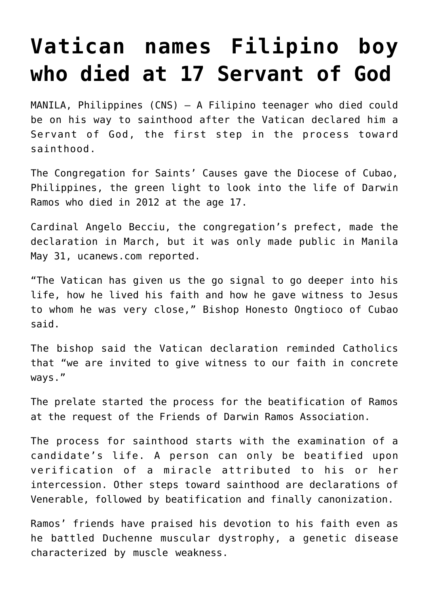## **[Vatican names Filipino boy](https://www.osvnews.com/2019/06/05/vatican-names-filipino-boy-who-died-at-17-servant-of-god/) [who died at 17 Servant of God](https://www.osvnews.com/2019/06/05/vatican-names-filipino-boy-who-died-at-17-servant-of-god/)**

MANILA, Philippines (CNS) — A Filipino teenager who died could be on his way to sainthood after the Vatican declared him a Servant of God, the first step in the process toward sainthood.

The Congregation for Saints' Causes gave the Diocese of Cubao, Philippines, the green light to look into the life of Darwin Ramos who died in 2012 at the age 17.

Cardinal Angelo Becciu, the congregation's prefect, made the declaration in March, but it was only made public in Manila May 31, ucanews.com reported.

"The Vatican has given us the go signal to go deeper into his life, how he lived his faith and how he gave witness to Jesus to whom he was very close," Bishop Honesto Ongtioco of Cubao said.

The bishop said the Vatican declaration reminded Catholics that "we are invited to give witness to our faith in concrete ways."

The prelate started the process for the beatification of Ramos at the request of the Friends of Darwin Ramos Association.

The process for sainthood starts with the examination of a candidate's life. A person can only be beatified upon verification of a miracle attributed to his or her intercession. Other steps toward sainthood are declarations of Venerable, followed by beatification and finally canonization.

Ramos' friends have praised his devotion to his faith even as he battled Duchenne muscular dystrophy, a genetic disease characterized by muscle weakness.